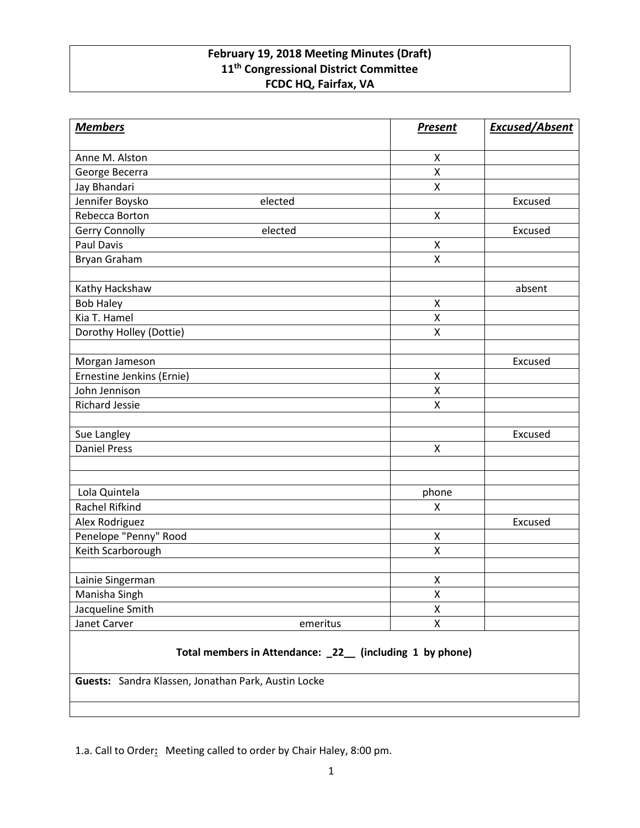## **February 19, 2018 Meeting Minutes (Draft) 11th Congressional District Committee FCDC HQ, Fairfax, VA**

| <b>Members</b>                                           |          | <b>Present</b>     | <b>Excused/Absent</b> |
|----------------------------------------------------------|----------|--------------------|-----------------------|
| Anne M. Alston                                           |          | X                  |                       |
| George Becerra                                           |          | $\pmb{\mathsf{X}}$ |                       |
| Jay Bhandari                                             |          | $\pmb{\mathsf{X}}$ |                       |
| Jennifer Boysko                                          | elected  |                    | Excused               |
| Rebecca Borton                                           |          | $\mathsf{X}$       |                       |
| Gerry Connolly                                           | elected  |                    | Excused               |
| <b>Paul Davis</b>                                        |          | X                  |                       |
| Bryan Graham                                             |          | X                  |                       |
|                                                          |          |                    |                       |
| Kathy Hackshaw                                           |          |                    | absent                |
| <b>Bob Haley</b>                                         |          | X                  |                       |
| Kia T. Hamel                                             |          | Χ                  |                       |
| Dorothy Holley (Dottie)                                  |          | X                  |                       |
|                                                          |          |                    |                       |
| Morgan Jameson                                           |          |                    | Excused               |
| Ernestine Jenkins (Ernie)                                |          | $\pmb{\mathsf{X}}$ |                       |
| John Jennison                                            |          | $\pmb{\mathsf{X}}$ |                       |
| <b>Richard Jessie</b>                                    |          | X                  |                       |
|                                                          |          |                    |                       |
| Sue Langley                                              |          |                    | Excused               |
| <b>Daniel Press</b>                                      |          | X                  |                       |
|                                                          |          |                    |                       |
|                                                          |          |                    |                       |
| Lola Quintela                                            |          | phone              |                       |
| Rachel Rifkind                                           |          | X                  |                       |
| Alex Rodriguez                                           |          |                    | Excused               |
| Penelope "Penny" Rood                                    |          | X<br>Χ             |                       |
| Keith Scarborough                                        |          |                    |                       |
| Lainie Singerman                                         |          | X                  |                       |
| Manisha Singh                                            |          | X                  |                       |
| Jacqueline Smith                                         |          | X                  |                       |
| Janet Carver                                             | emeritus | $\pmb{\mathsf{X}}$ |                       |
| Total members in Attendance: _22_ (including 1 by phone) |          |                    |                       |

**Guests:** Sandra Klassen, Jonathan Park, Austin Locke

1.a. Call to Order**:** Meeting called to order by Chair Haley, 8:00 pm.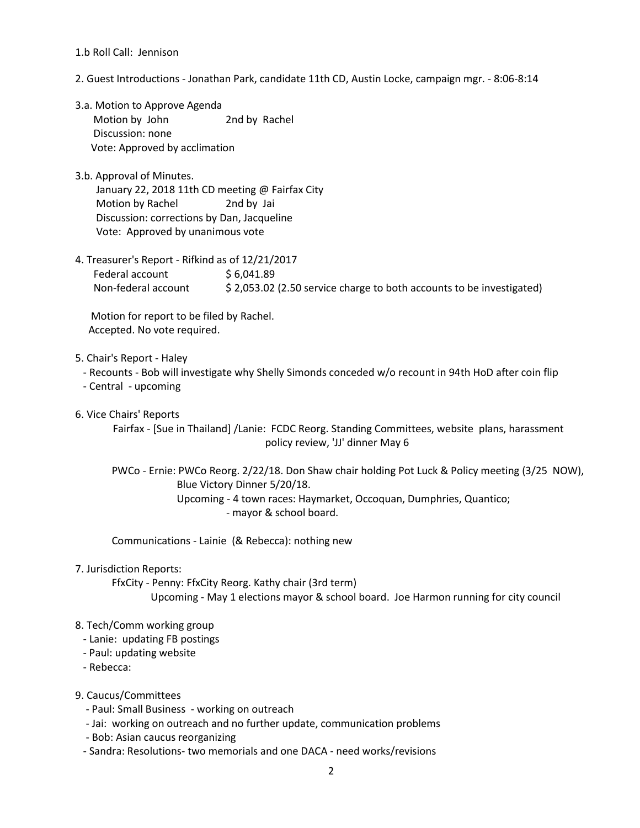## 1.b Roll Call: Jennison

- 2. Guest Introductions Jonathan Park, candidate 11th CD, Austin Locke, campaign mgr. 8:06-8:14
- 3.a. Motion to Approve Agenda Motion by John 2nd by Rachel Discussion: none Vote: Approved by acclimation
- 3.b. Approval of Minutes. January 22, 2018 11th CD meeting @ Fairfax City Motion by Rachel 2nd by Jai Discussion: corrections by Dan, Jacqueline Vote: Approved by unanimous vote
- 4. Treasurer's Report Rifkind as of 12/21/2017 Federal account \$ 6,041.89 Non-federal account \$ 2,053.02 (2.50 service charge to both accounts to be investigated)

 Motion for report to be filed by Rachel. Accepted. No vote required.

- 5. Chair's Report Haley
	- Recounts Bob will investigate why Shelly Simonds conceded w/o recount in 94th HoD after coin flip
	- Central upcoming
- 6. Vice Chairs' Reports

Fairfax - [Sue in Thailand] /Lanie: FCDC Reorg. Standing Committees, website plans, harassment policy review, 'JJ' dinner May 6

 PWCo - Ernie: PWCo Reorg. 2/22/18. Don Shaw chair holding Pot Luck & Policy meeting (3/25 NOW), Blue Victory Dinner 5/20/18. Upcoming - 4 town races: Haymarket, Occoquan, Dumphries, Quantico; - mayor & school board.

Communications - Lainie (& Rebecca): nothing new

7. Jurisdiction Reports:

 FfxCity - Penny: FfxCity Reorg. Kathy chair (3rd term) Upcoming - May 1 elections mayor & school board. Joe Harmon running for city council

## 8. Tech/Comm working group

- Lanie: updating FB postings
- Paul: updating website
- Rebecca:

9. Caucus/Committees

- Paul: Small Business working on outreach
- Jai: working on outreach and no further update, communication problems
- Bob: Asian caucus reorganizing
- Sandra: Resolutions- two memorials and one DACA need works/revisions